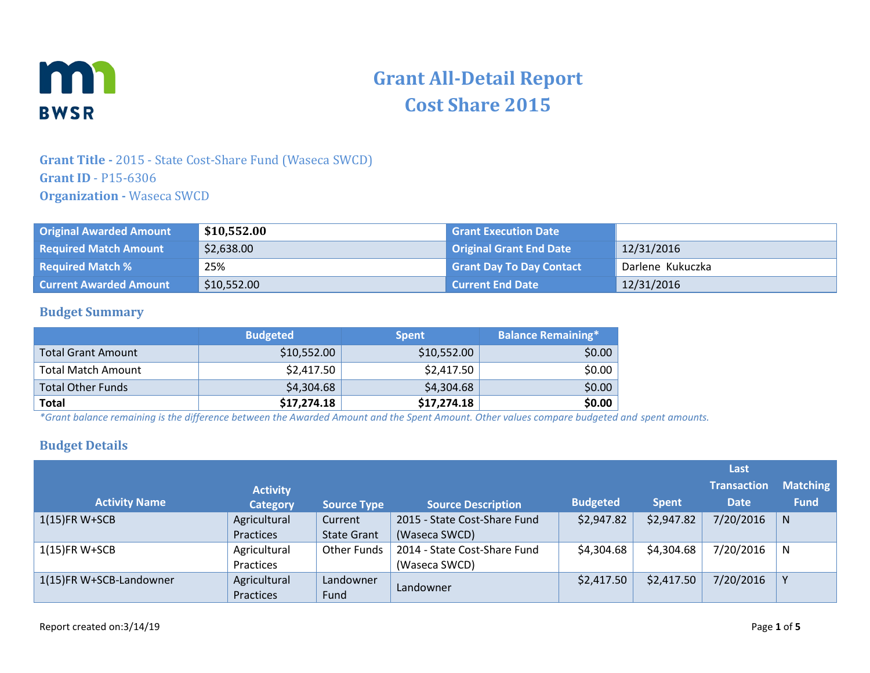

# **Grant All-Detail Report Cost Share 2015**

## **Grant Title -** 2015 - State Cost-Share Fund (Waseca SWCD) **Grant ID** - P15-6306 **Organization -** Waseca SWCD

| <b>Original Awarded Amount</b> | \$10,552.00 | <b>Grant Execution Date</b>     |                  |
|--------------------------------|-------------|---------------------------------|------------------|
| <b>Required Match Amount</b>   | \$2,638.00  | Original Grant End Date         | 12/31/2016       |
| <b>Required Match %</b>        | 25%         | <b>Grant Day To Day Contact</b> | Darlene Kukuczka |
| <b>Current Awarded Amount</b>  | \$10,552.00 | <b>Current End Date</b>         | 12/31/2016       |

#### **Budget Summary**

|                           | <b>Budgeted</b> | <b>Spent</b> | <b>Balance Remaining*</b> |
|---------------------------|-----------------|--------------|---------------------------|
| <b>Total Grant Amount</b> | \$10,552.00     | \$10,552.00  | \$0.00                    |
| <b>Total Match Amount</b> | \$2,417.50      | \$2,417.50   | \$0.00                    |
| <b>Total Other Funds</b>  | \$4,304.68      | \$4,304.68   | \$0.00                    |
| <b>Total</b>              | \$17,274.18     | \$17,274.18  | \$0.00                    |

*\*Grant balance remaining is the difference between the Awarded Amount and the Spent Amount. Other values compare budgeted and spent amounts.*

#### **Budget Details**

|                         |                 |                    |                              |                 |              | Last               |                 |
|-------------------------|-----------------|--------------------|------------------------------|-----------------|--------------|--------------------|-----------------|
|                         | <b>Activity</b> |                    |                              |                 |              | <b>Transaction</b> | <b>Matching</b> |
| <b>Activity Name</b>    | <b>Category</b> | <b>Source Type</b> | <b>Source Description</b>    | <b>Budgeted</b> | <b>Spent</b> | <b>Date</b>        | <b>Fund</b>     |
| $1(15)$ FR W+SCB        | Agricultural    | Current            | 2015 - State Cost-Share Fund | \$2,947.82      | \$2,947.82   | 7/20/2016          | N               |
|                         | Practices       | <b>State Grant</b> | (Waseca SWCD)                |                 |              |                    |                 |
| $1(15)$ FR W+SCB        | Agricultural    | Other Funds        | 2014 - State Cost-Share Fund | \$4,304.68      | \$4,304.68   | 7/20/2016          | N               |
|                         | Practices       |                    | (Waseca SWCD)                |                 |              |                    |                 |
| 1(15)FR W+SCB-Landowner | Agricultural    | Landowner          |                              | \$2,417.50      | \$2,417.50   | 7/20/2016          |                 |
|                         | Practices       | Fund               | Landowner                    |                 |              |                    |                 |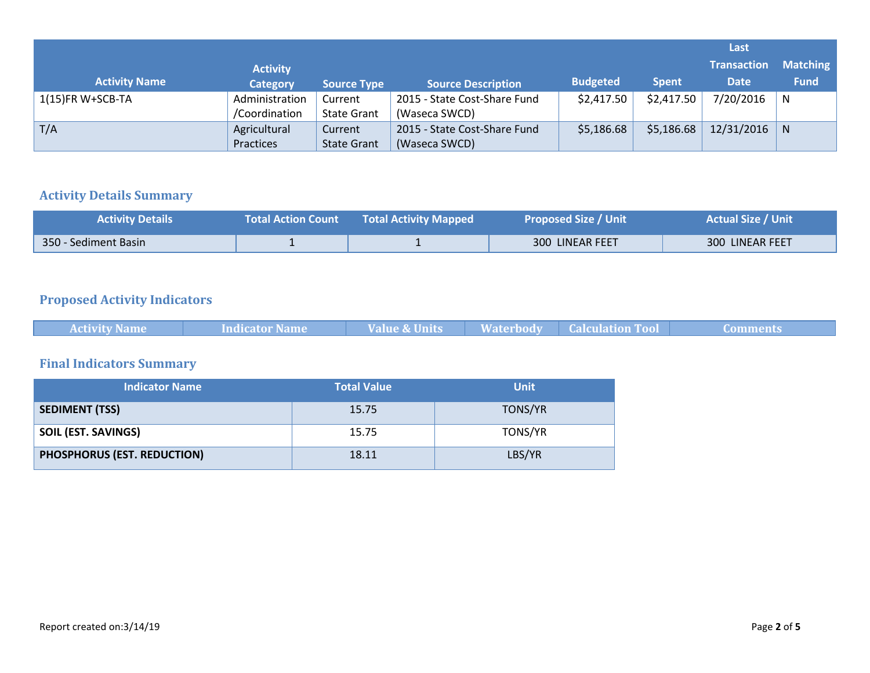|                      |                 |                    |                              |                 |              | Last               |                 |
|----------------------|-----------------|--------------------|------------------------------|-----------------|--------------|--------------------|-----------------|
|                      | <b>Activity</b> |                    |                              |                 |              | <b>Transaction</b> | <b>Matching</b> |
| <b>Activity Name</b> | <b>Category</b> | <b>Source Type</b> | <b>Source Description</b>    | <b>Budgeted</b> | <b>Spent</b> | <b>Date</b>        | <b>Fund</b>     |
| $1(15)$ FR W+SCB-TA  | Administration  | Current            | 2015 - State Cost-Share Fund | \$2,417.50      | \$2,417.50   | 7/20/2016          | N               |
|                      | /Coordination   | <b>State Grant</b> | (Waseca SWCD)                |                 |              |                    |                 |
| T/A                  | Agricultural    | Current            | 2015 - State Cost-Share Fund | \$5,186.68      | \$5,186.68   | 12/31/2016         | N               |
|                      | Practices       | <b>State Grant</b> | (Waseca SWCD)                |                 |              |                    |                 |

#### **Activity Details Summary**

| <b>Activity Details</b> | <b>Total Action Count</b> | <b>Total Activity Mapped</b> | <b>Proposed Size / Unit</b> | <b>Actual Size / Unit</b> |
|-------------------------|---------------------------|------------------------------|-----------------------------|---------------------------|
| 350 - Sediment Basin    |                           |                              | 300 LINEAR FEET             | 300 LINEAR FEET           |

# **Proposed Activity Indicators**

| <b>Indicator Name</b><br><b>Activity Name</b> | <b>Value &amp; Units</b> | <b>Waterbody</b> | <b>Calculation Tool</b> | <b>Comments</b> |
|-----------------------------------------------|--------------------------|------------------|-------------------------|-----------------|
|-----------------------------------------------|--------------------------|------------------|-------------------------|-----------------|

# **Final Indicators Summary**

| <b>Indicator Name</b>       | <b>Total Value</b> | <b>Unit</b> |
|-----------------------------|--------------------|-------------|
| <b>SEDIMENT (TSS)</b>       | 15.75              | TONS/YR     |
| <b>SOIL (EST. SAVINGS)</b>  | 15.75              | TONS/YR     |
| PHOSPHORUS (EST. REDUCTION) | 18.11              | LBS/YR      |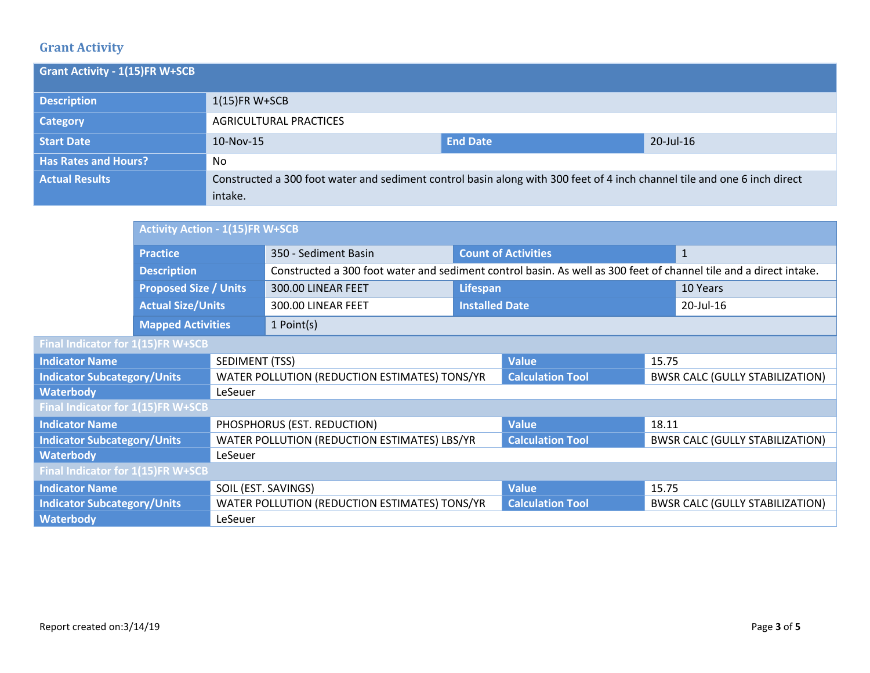# **Grant Activity**

| <b>Grant Activity - 1(15)FR W+SCB</b> |                                                                                                                          |                 |           |
|---------------------------------------|--------------------------------------------------------------------------------------------------------------------------|-----------------|-----------|
| <b>Description</b>                    | $1(15)$ FR W+SCB                                                                                                         |                 |           |
| <b>Category</b>                       | AGRICULTURAL PRACTICES                                                                                                   |                 |           |
| <b>Start Date</b>                     | 10-Nov-15                                                                                                                | <b>End Date</b> | 20-Jul-16 |
| <b>Has Rates and Hours?</b>           | No                                                                                                                       |                 |           |
| <b>Actual Results</b>                 | Constructed a 300 foot water and sediment control basin along with 300 feet of 4 inch channel tile and one 6 inch direct |                 |           |
|                                       | intake.                                                                                                                  |                 |           |

|                                    |                              | <b>Activity Action - 1(15)FR W+SCB</b> |                                                                                                                   |                       |                            |       |                                        |
|------------------------------------|------------------------------|----------------------------------------|-------------------------------------------------------------------------------------------------------------------|-----------------------|----------------------------|-------|----------------------------------------|
|                                    | <b>Practice</b>              |                                        | 350 - Sediment Basin                                                                                              |                       | <b>Count of Activities</b> |       | $\mathbf{1}$                           |
|                                    | <b>Description</b>           |                                        | Constructed a 300 foot water and sediment control basin. As well as 300 feet of channel tile and a direct intake. |                       |                            |       |                                        |
|                                    | <b>Proposed Size / Units</b> |                                        | 300.00 LINEAR FEET                                                                                                | Lifespan              |                            |       | 10 Years                               |
|                                    | <b>Actual Size/Units</b>     |                                        | 300.00 LINEAR FEET                                                                                                | <b>Installed Date</b> |                            |       | 20-Jul-16                              |
|                                    | <b>Mapped Activities</b>     |                                        | $1$ Point(s)                                                                                                      |                       |                            |       |                                        |
| Final Indicator for 1(15)FR W+SCB  |                              |                                        |                                                                                                                   |                       |                            |       |                                        |
| <b>Indicator Name</b>              |                              | <b>SEDIMENT (TSS)</b>                  |                                                                                                                   |                       | <b>Value</b>               | 15.75 |                                        |
| <b>Indicator Subcategory/Units</b> |                              |                                        | WATER POLLUTION (REDUCTION ESTIMATES) TONS/YR                                                                     |                       | <b>Calculation Tool</b>    |       | <b>BWSR CALC (GULLY STABILIZATION)</b> |
| <b>Waterbody</b>                   |                              | LeSeuer                                |                                                                                                                   |                       |                            |       |                                        |
| Final Indicator for 1(15)FR W+SCB  |                              |                                        |                                                                                                                   |                       |                            |       |                                        |
| <b>Indicator Name</b>              |                              |                                        | PHOSPHORUS (EST. REDUCTION)                                                                                       |                       | <b>Value</b>               | 18.11 |                                        |
| <b>Indicator Subcategory/Units</b> |                              |                                        | WATER POLLUTION (REDUCTION ESTIMATES) LBS/YR                                                                      |                       | <b>Calculation Tool</b>    |       | <b>BWSR CALC (GULLY STABILIZATION)</b> |
| <b>Waterbody</b>                   |                              | LeSeuer                                |                                                                                                                   |                       |                            |       |                                        |
| Final Indicator for 1(15)FR W+SCB  |                              |                                        |                                                                                                                   |                       |                            |       |                                        |
| <b>Indicator Name</b>              |                              |                                        | SOIL (EST. SAVINGS)                                                                                               | <b>Value</b>          | 15.75                      |       |                                        |
| <b>Indicator Subcategory/Units</b> |                              |                                        | WATER POLLUTION (REDUCTION ESTIMATES) TONS/YR                                                                     |                       | <b>Calculation Tool</b>    |       | <b>BWSR CALC (GULLY STABILIZATION)</b> |
| <b>Waterbody</b>                   |                              | LeSeuer                                |                                                                                                                   |                       |                            |       |                                        |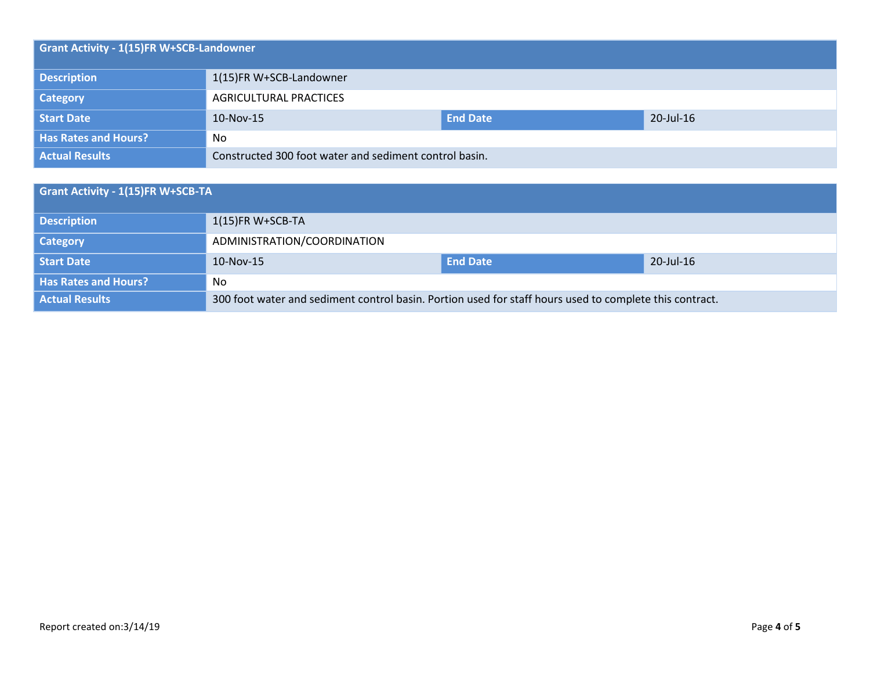| <b>Grant Activity - 1(15)FR W+SCB-Landowner</b> |                                                        |                 |           |  |  |
|-------------------------------------------------|--------------------------------------------------------|-----------------|-----------|--|--|
| <b>Description</b>                              | 1(15)FR W+SCB-Landowner                                |                 |           |  |  |
| <b>Category</b>                                 | AGRICULTURAL PRACTICES                                 |                 |           |  |  |
| Start Date                                      | 10-Nov-15                                              | <b>End Date</b> | 20-Jul-16 |  |  |
| <b>Has Rates and Hours?</b>                     | No                                                     |                 |           |  |  |
| <b>Actual Results</b>                           | Constructed 300 foot water and sediment control basin. |                 |           |  |  |

| <b>Grant Activity - 1(15)FR W+SCB-TA</b> |                                                                                                         |                 |           |  |  |
|------------------------------------------|---------------------------------------------------------------------------------------------------------|-----------------|-----------|--|--|
| <b>Description</b>                       | $1(15)$ FR W+SCB-TA                                                                                     |                 |           |  |  |
| <b>Category</b>                          | ADMINISTRATION/COORDINATION                                                                             |                 |           |  |  |
| <b>Start Date</b>                        | 10-Nov-15                                                                                               | <b>End Date</b> | 20-Jul-16 |  |  |
| <b>Has Rates and Hours?</b>              | No.                                                                                                     |                 |           |  |  |
| <b>Actual Results</b>                    | 300 foot water and sediment control basin. Portion used for staff hours used to complete this contract. |                 |           |  |  |